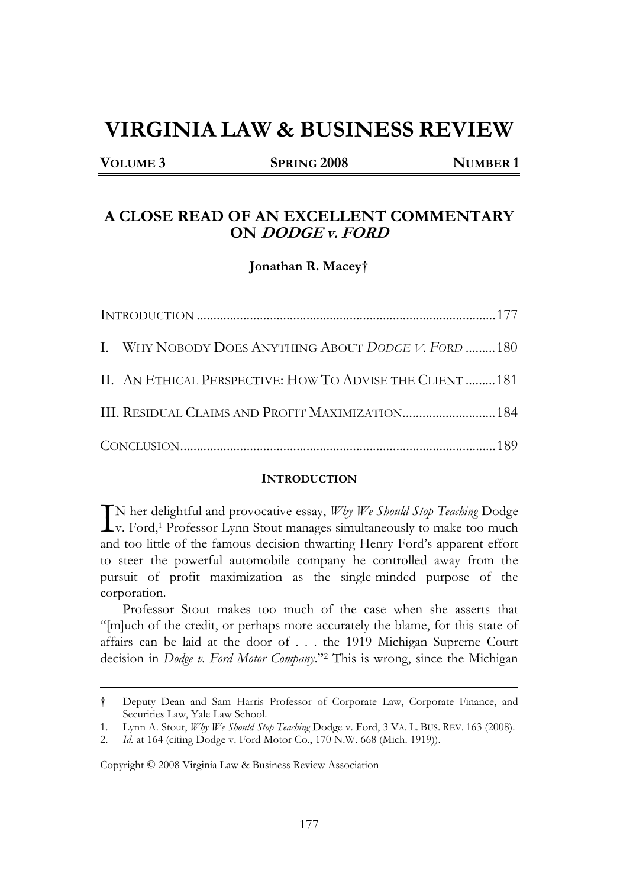# **VIRGINIA LAW & BUSINESS REVIEW**

**VOLUME** 3 **SPRING 2008 NUMBER 1** 

## **A CLOSE READ OF AN EXCELLENT COMMENTARY ON DODGE v. FORD**

**Jonathan R. Macey**†

| I. WHY NOBODY DOES ANYTHING ABOUT DODGE V. FORD 180      |  |
|----------------------------------------------------------|--|
| II. AN ETHICAL PERSPECTIVE: HOW TO ADVISE THE CLIENT 181 |  |
|                                                          |  |
|                                                          |  |

#### **INTRODUCTION**

N her delightful and provocative essay, *Why We Should Stop Teaching* Dodge  $\prod_{v}$  N her delightful and provocative essay,  $Wby$  We Should Stop Teaching Dodge<br>v. Ford,<sup>1</sup> Professor Lynn Stout manages simultaneously to make too much<br>and too little of the femous designs threating Henry Ford's appea and too little of the famous decision thwarting Henry Ford's apparent effort to steer the powerful automobile company he controlled away from the pursuit of profit maximization as the single-minded purpose of the corporation.

Professor Stout makes too much of the case when she asserts that "[m]uch of the credit, or perhaps more accurately the blame, for this state of affairs can be laid at the door of . . . the 1919 Michigan Supreme Court decision in *Dodge v. Ford Motor Company*."2 This is wrong, since the Michigan

Copyright © 2008 Virginia Law & Business Review Association

<sup>†</sup> Deputy Dean and Sam Harris Professor of Corporate Law, Corporate Finance, and Securities Law, Yale Law School.

<sup>1.</sup> Lynn A. Stout, *Why We Should Stop Teaching* Dodge v. Ford, 3 VA. L. BUS. REV. 163 (2008).

<sup>2.</sup> *Id.* at 164 (citing Dodge v. Ford Motor Co., 170 N.W. 668 (Mich. 1919)).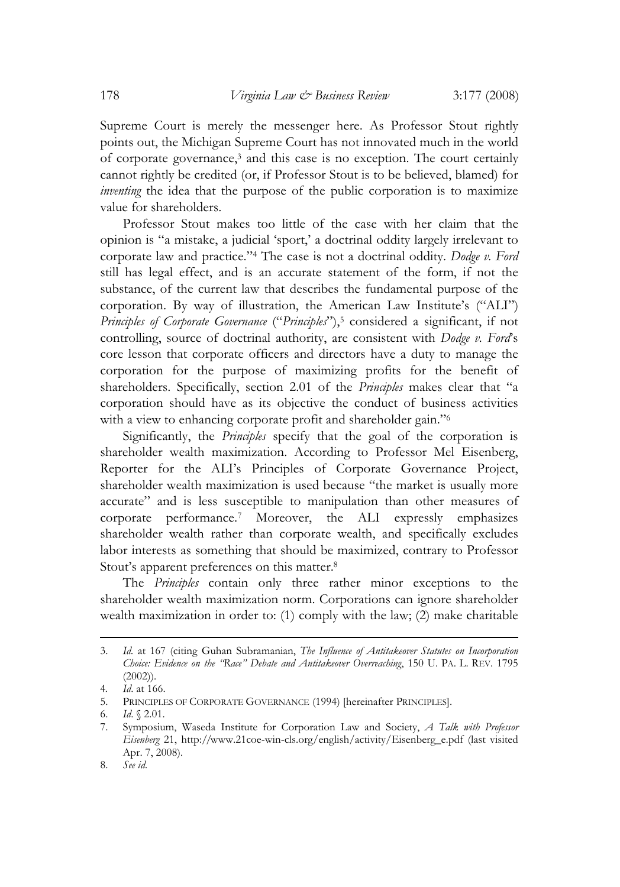Supreme Court is merely the messenger here. As Professor Stout rightly points out, the Michigan Supreme Court has not innovated much in the world of corporate governance,3 and this case is no exception. The court certainly cannot rightly be credited (or, if Professor Stout is to be believed, blamed) for *inventing* the idea that the purpose of the public corporation is to maximize value for shareholders.

Professor Stout makes too little of the case with her claim that the opinion is "a mistake, a judicial 'sport,' a doctrinal oddity largely irrelevant to corporate law and practice."4 The case is not a doctrinal oddity. *Dodge v. Ford* still has legal effect, and is an accurate statement of the form, if not the substance, of the current law that describes the fundamental purpose of the corporation. By way of illustration, the American Law Institute's ("ALI") *Principles of Corporate Governance* ("*Principles*"),<sup>5</sup> considered a significant, if not controlling, source of doctrinal authority, are consistent with *Dodge v. Ford*'s core lesson that corporate officers and directors have a duty to manage the corporation for the purpose of maximizing profits for the benefit of shareholders. Specifically, section 2.01 of the *Principles* makes clear that "a corporation should have as its objective the conduct of business activities with a view to enhancing corporate profit and shareholder gain."6

Significantly, the *Principles* specify that the goal of the corporation is shareholder wealth maximization. According to Professor Mel Eisenberg, Reporter for the ALI's Principles of Corporate Governance Project, shareholder wealth maximization is used because "the market is usually more accurate" and is less susceptible to manipulation than other measures of corporate performance.7 Moreover, the ALI expressly emphasizes shareholder wealth rather than corporate wealth, and specifically excludes labor interests as something that should be maximized, contrary to Professor Stout's apparent preferences on this matter.8

The *Principles* contain only three rather minor exceptions to the shareholder wealth maximization norm. Corporations can ignore shareholder wealth maximization in order to: (1) comply with the law; (2) make charitable

<sup>3.</sup> *Id.* at 167 (citing Guhan Subramanian, *The Influence of Antitakeover Statutes on Incorporation Choice: Evidence on the "Race" Debate and Antitakeover Overreaching*, 150 U. PA. L. REV. 1795 (2002)).

<sup>4</sup>*. Id*. at 166.

<sup>5.</sup> PRINCIPLES OF CORPORATE GOVERNANCE (1994) [hereinafter PRINCIPLES].

<sup>6.</sup> *Id*. § 2.01.

<sup>7.</sup> Symposium, Waseda Institute for Corporation Law and Society, *A Talk with Professor Eisenberg* 21, http://www.21coe-win-cls.org/english/activity/Eisenberg\_e.pdf (last visited Apr. 7, 2008).

<sup>8.</sup> *See id.*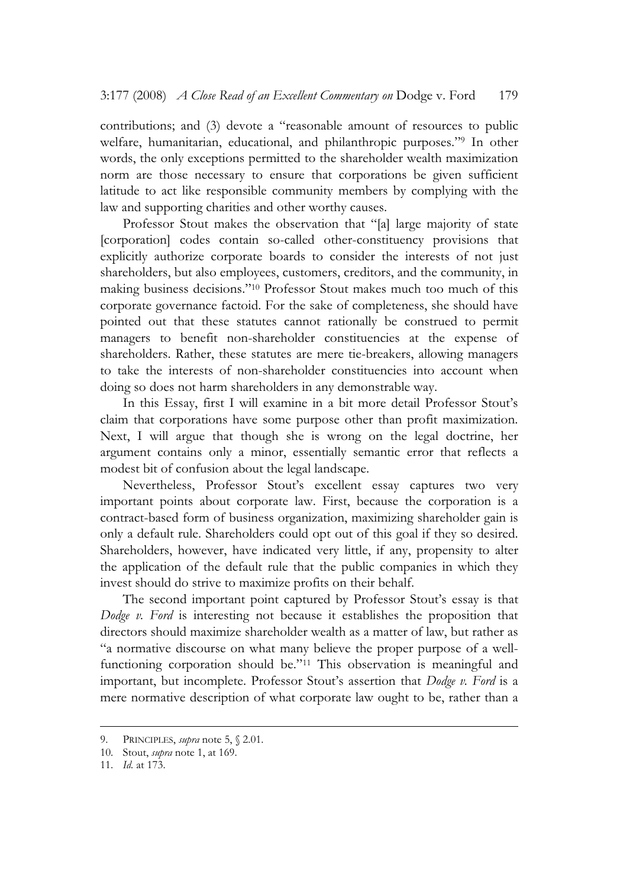contributions; and (3) devote a "reasonable amount of resources to public welfare, humanitarian, educational, and philanthropic purposes."9 In other words, the only exceptions permitted to the shareholder wealth maximization norm are those necessary to ensure that corporations be given sufficient latitude to act like responsible community members by complying with the law and supporting charities and other worthy causes.

Professor Stout makes the observation that "[a] large majority of state [corporation] codes contain so-called other-constituency provisions that explicitly authorize corporate boards to consider the interests of not just shareholders, but also employees, customers, creditors, and the community, in making business decisions."10 Professor Stout makes much too much of this corporate governance factoid. For the sake of completeness, she should have pointed out that these statutes cannot rationally be construed to permit managers to benefit non-shareholder constituencies at the expense of shareholders. Rather, these statutes are mere tie-breakers, allowing managers to take the interests of non-shareholder constituencies into account when doing so does not harm shareholders in any demonstrable way.

In this Essay, first I will examine in a bit more detail Professor Stout's claim that corporations have some purpose other than profit maximization. Next, I will argue that though she is wrong on the legal doctrine, her argument contains only a minor, essentially semantic error that reflects a modest bit of confusion about the legal landscape.

Nevertheless, Professor Stout's excellent essay captures two very important points about corporate law. First, because the corporation is a contract-based form of business organization, maximizing shareholder gain is only a default rule. Shareholders could opt out of this goal if they so desired. Shareholders, however, have indicated very little, if any, propensity to alter the application of the default rule that the public companies in which they invest should do strive to maximize profits on their behalf.

The second important point captured by Professor Stout's essay is that *Dodge v. Ford* is interesting not because it establishes the proposition that directors should maximize shareholder wealth as a matter of law, but rather as "a normative discourse on what many believe the proper purpose of a wellfunctioning corporation should be."11 This observation is meaningful and important, but incomplete. Professor Stout's assertion that *Dodge v. Ford* is a mere normative description of what corporate law ought to be, rather than a

<sup>9.</sup> PRINCIPLES, *supra* note 5, § 2.01.

<sup>10.</sup> Stout, *supra* note 1, at 169.

<sup>11.</sup> *Id.* at 173.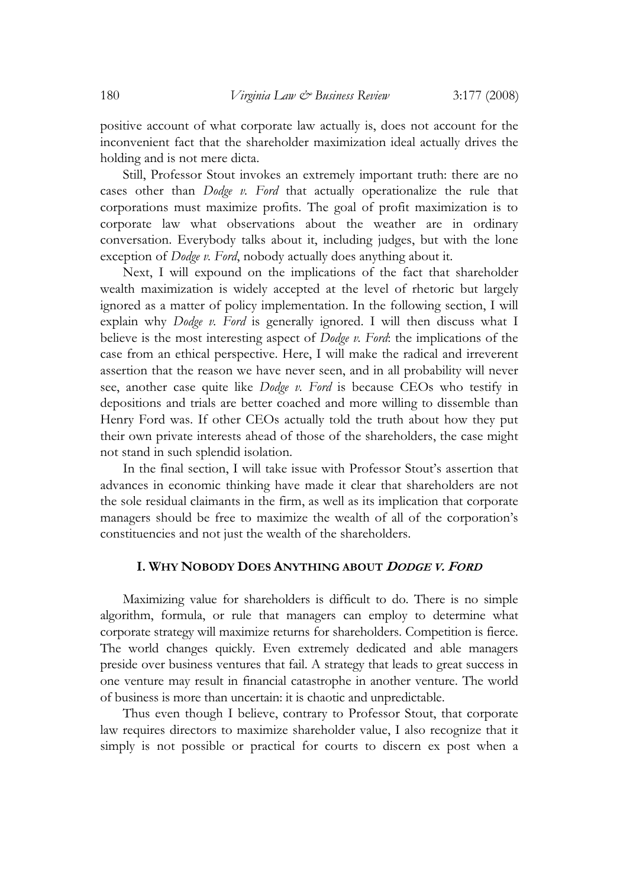positive account of what corporate law actually is, does not account for the inconvenient fact that the shareholder maximization ideal actually drives the holding and is not mere dicta.

Still, Professor Stout invokes an extremely important truth: there are no cases other than *Dodge v. Ford* that actually operationalize the rule that corporations must maximize profits. The goal of profit maximization is to corporate law what observations about the weather are in ordinary conversation. Everybody talks about it, including judges, but with the lone exception of *Dodge v. Ford*, nobody actually does anything about it.

Next, I will expound on the implications of the fact that shareholder wealth maximization is widely accepted at the level of rhetoric but largely ignored as a matter of policy implementation. In the following section, I will explain why *Dodge v. Ford* is generally ignored. I will then discuss what I believe is the most interesting aspect of *Dodge v. Ford*: the implications of the case from an ethical perspective. Here, I will make the radical and irreverent assertion that the reason we have never seen, and in all probability will never see, another case quite like *Dodge v. Ford* is because CEOs who testify in depositions and trials are better coached and more willing to dissemble than Henry Ford was. If other CEOs actually told the truth about how they put their own private interests ahead of those of the shareholders, the case might not stand in such splendid isolation.

In the final section, I will take issue with Professor Stout's assertion that advances in economic thinking have made it clear that shareholders are not the sole residual claimants in the firm, as well as its implication that corporate managers should be free to maximize the wealth of all of the corporation's constituencies and not just the wealth of the shareholders.

#### **I. WHY NOBODY DOES ANYTHING ABOUT <sup>D</sup>ODGE V. <sup>F</sup>ORD**

Maximizing value for shareholders is difficult to do. There is no simple algorithm, formula, or rule that managers can employ to determine what corporate strategy will maximize returns for shareholders. Competition is fierce. The world changes quickly. Even extremely dedicated and able managers preside over business ventures that fail. A strategy that leads to great success in one venture may result in financial catastrophe in another venture. The world of business is more than uncertain: it is chaotic and unpredictable.

Thus even though I believe, contrary to Professor Stout, that corporate law requires directors to maximize shareholder value, I also recognize that it simply is not possible or practical for courts to discern ex post when a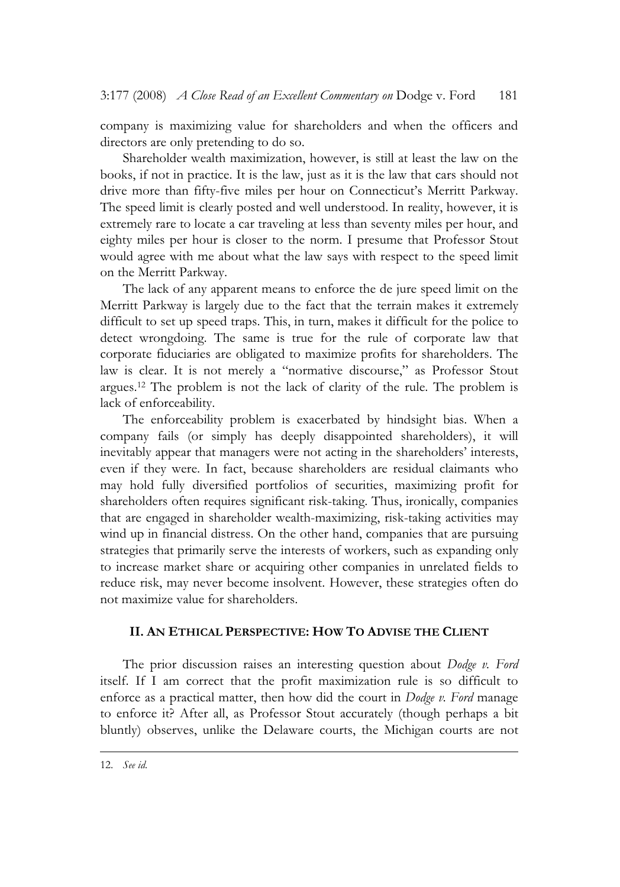company is maximizing value for shareholders and when the officers and directors are only pretending to do so.

Shareholder wealth maximization, however, is still at least the law on the books, if not in practice. It is the law, just as it is the law that cars should not drive more than fifty-five miles per hour on Connecticut's Merritt Parkway. The speed limit is clearly posted and well understood. In reality, however, it is extremely rare to locate a car traveling at less than seventy miles per hour, and eighty miles per hour is closer to the norm. I presume that Professor Stout would agree with me about what the law says with respect to the speed limit on the Merritt Parkway.

The lack of any apparent means to enforce the de jure speed limit on the Merritt Parkway is largely due to the fact that the terrain makes it extremely difficult to set up speed traps. This, in turn, makes it difficult for the police to detect wrongdoing. The same is true for the rule of corporate law that corporate fiduciaries are obligated to maximize profits for shareholders. The law is clear. It is not merely a "normative discourse," as Professor Stout argues.12 The problem is not the lack of clarity of the rule. The problem is lack of enforceability.

The enforceability problem is exacerbated by hindsight bias. When a company fails (or simply has deeply disappointed shareholders), it will inevitably appear that managers were not acting in the shareholders' interests, even if they were. In fact, because shareholders are residual claimants who may hold fully diversified portfolios of securities, maximizing profit for shareholders often requires significant risk-taking. Thus, ironically, companies that are engaged in shareholder wealth-maximizing, risk-taking activities may wind up in financial distress. On the other hand, companies that are pursuing strategies that primarily serve the interests of workers, such as expanding only to increase market share or acquiring other companies in unrelated fields to reduce risk, may never become insolvent. However, these strategies often do not maximize value for shareholders.

### **II. AN ETHICAL PERSPECTIVE: HOW TO ADVISE THE CLIENT**

The prior discussion raises an interesting question about *Dodge v. Ford*  itself. If I am correct that the profit maximization rule is so difficult to enforce as a practical matter, then how did the court in *Dodge v. Ford* manage to enforce it? After all, as Professor Stout accurately (though perhaps a bit bluntly) observes, unlike the Delaware courts, the Michigan courts are not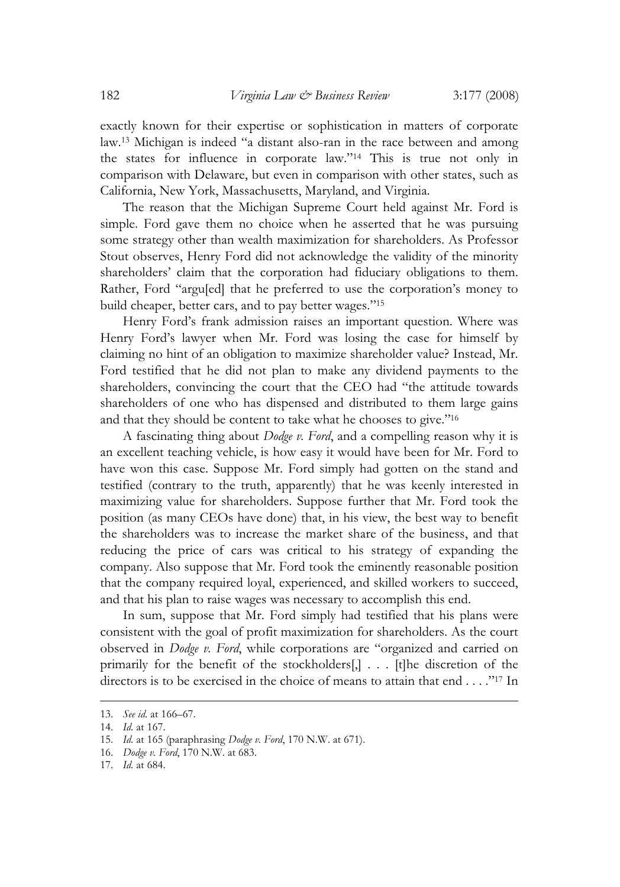exactly known for their expertise or sophistication in matters of corporate law.13 Michigan is indeed "a distant also-ran in the race between and among the states for influence in corporate law."14 This is true not only in comparison with Delaware, but even in comparison with other states, such as California, New York, Massachusetts, Maryland, and Virginia.

The reason that the Michigan Supreme Court held against Mr. Ford is simple. Ford gave them no choice when he asserted that he was pursuing some strategy other than wealth maximization for shareholders. As Professor Stout observes, Henry Ford did not acknowledge the validity of the minority shareholders' claim that the corporation had fiduciary obligations to them. Rather, Ford "argu[ed] that he preferred to use the corporation's money to build cheaper, better cars, and to pay better wages."15

Henry Ford's frank admission raises an important question. Where was Henry Ford's lawyer when Mr. Ford was losing the case for himself by claiming no hint of an obligation to maximize shareholder value? Instead, Mr. Ford testified that he did not plan to make any dividend payments to the shareholders, convincing the court that the CEO had "the attitude towards shareholders of one who has dispensed and distributed to them large gains and that they should be content to take what he chooses to give."16

A fascinating thing about *Dodge v. Ford*, and a compelling reason why it is an excellent teaching vehicle, is how easy it would have been for Mr. Ford to have won this case. Suppose Mr. Ford simply had gotten on the stand and testified (contrary to the truth, apparently) that he was keenly interested in maximizing value for shareholders. Suppose further that Mr. Ford took the position (as many CEOs have done) that, in his view, the best way to benefit the shareholders was to increase the market share of the business, and that reducing the price of cars was critical to his strategy of expanding the company. Also suppose that Mr. Ford took the eminently reasonable position that the company required loyal, experienced, and skilled workers to succeed, and that his plan to raise wages was necessary to accomplish this end.

In sum, suppose that Mr. Ford simply had testified that his plans were consistent with the goal of profit maximization for shareholders. As the court observed in *Dodge v. Ford*, while corporations are "organized and carried on primarily for the benefit of the stockholders[,] . . . [t]he discretion of the directors is to be exercised in the choice of means to attain that end . . . ."17 In

<sup>13.</sup> *See id.* at 166–67.

<sup>14.</sup> *Id.* at 167.

<sup>15.</sup> *Id.* at 165 (paraphrasing *Dodge v. Ford*, 170 N.W. at 671).

<sup>16.</sup> *Dodge v. Ford*, 170 N.W. at 683.

<sup>17.</sup> *Id.* at 684.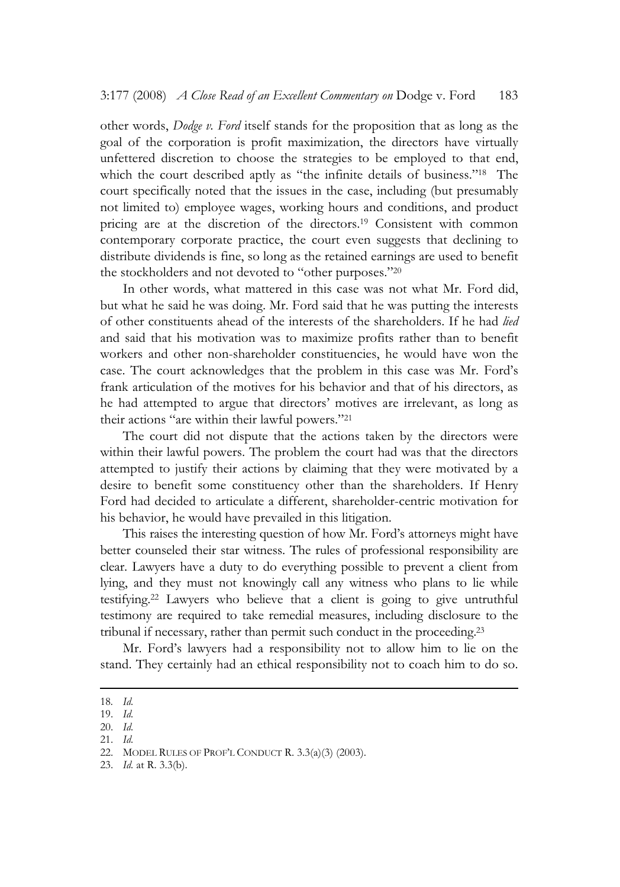other words, *Dodge v. Ford* itself stands for the proposition that as long as the goal of the corporation is profit maximization, the directors have virtually unfettered discretion to choose the strategies to be employed to that end, which the court described aptly as "the infinite details of business."<sup>18</sup> The court specifically noted that the issues in the case, including (but presumably not limited to) employee wages, working hours and conditions, and product pricing are at the discretion of the directors.19 Consistent with common contemporary corporate practice, the court even suggests that declining to distribute dividends is fine, so long as the retained earnings are used to benefit the stockholders and not devoted to "other purposes."20

In other words, what mattered in this case was not what Mr. Ford did, but what he said he was doing. Mr. Ford said that he was putting the interests of other constituents ahead of the interests of the shareholders. If he had *lied* and said that his motivation was to maximize profits rather than to benefit workers and other non-shareholder constituencies, he would have won the case. The court acknowledges that the problem in this case was Mr. Ford's frank articulation of the motives for his behavior and that of his directors, as he had attempted to argue that directors' motives are irrelevant, as long as their actions "are within their lawful powers."21

The court did not dispute that the actions taken by the directors were within their lawful powers. The problem the court had was that the directors attempted to justify their actions by claiming that they were motivated by a desire to benefit some constituency other than the shareholders. If Henry Ford had decided to articulate a different, shareholder-centric motivation for his behavior, he would have prevailed in this litigation.

This raises the interesting question of how Mr. Ford's attorneys might have better counseled their star witness. The rules of professional responsibility are clear. Lawyers have a duty to do everything possible to prevent a client from lying, and they must not knowingly call any witness who plans to lie while testifying.22 Lawyers who believe that a client is going to give untruthful testimony are required to take remedial measures, including disclosure to the tribunal if necessary, rather than permit such conduct in the proceeding.23

Mr. Ford's lawyers had a responsibility not to allow him to lie on the stand. They certainly had an ethical responsibility not to coach him to do so.

<sup>18</sup>*. Id.* 

<sup>19.</sup> *Id.*

<sup>20.</sup> *Id.*

<sup>21.</sup> *Id.*

<sup>22.</sup> MODEL RULES OF PROF'L CONDUCT R. 3.3(a)(3) (2003).

<sup>23.</sup> *Id.* at R. 3.3(b).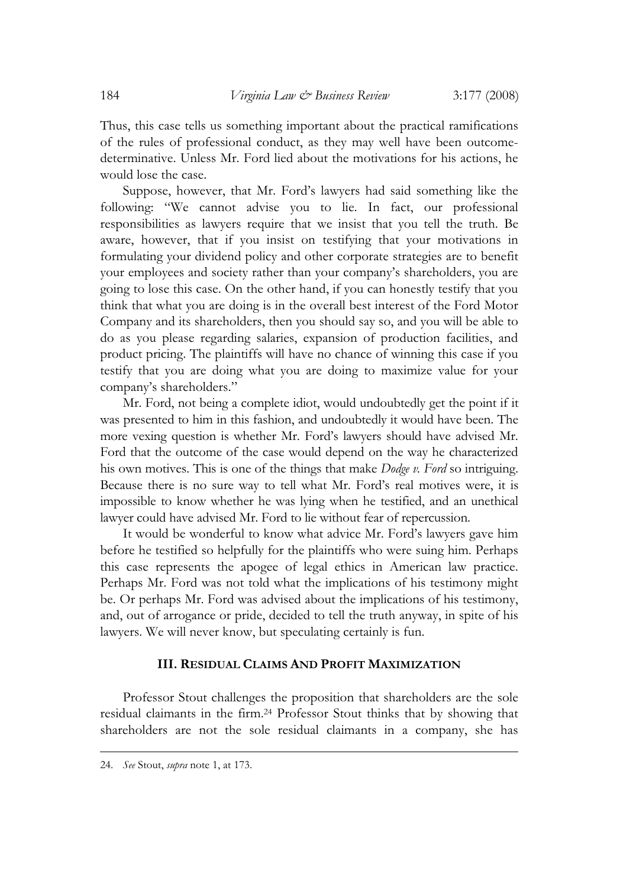Thus, this case tells us something important about the practical ramifications of the rules of professional conduct, as they may well have been outcomedeterminative. Unless Mr. Ford lied about the motivations for his actions, he would lose the case.

Suppose, however, that Mr. Ford's lawyers had said something like the following: "We cannot advise you to lie. In fact, our professional responsibilities as lawyers require that we insist that you tell the truth. Be aware, however, that if you insist on testifying that your motivations in formulating your dividend policy and other corporate strategies are to benefit your employees and society rather than your company's shareholders, you are going to lose this case. On the other hand, if you can honestly testify that you think that what you are doing is in the overall best interest of the Ford Motor Company and its shareholders, then you should say so, and you will be able to do as you please regarding salaries, expansion of production facilities, and product pricing. The plaintiffs will have no chance of winning this case if you testify that you are doing what you are doing to maximize value for your company's shareholders."

Mr. Ford, not being a complete idiot, would undoubtedly get the point if it was presented to him in this fashion, and undoubtedly it would have been. The more vexing question is whether Mr. Ford's lawyers should have advised Mr. Ford that the outcome of the case would depend on the way he characterized his own motives. This is one of the things that make *Dodge v. Ford* so intriguing. Because there is no sure way to tell what Mr. Ford's real motives were, it is impossible to know whether he was lying when he testified, and an unethical lawyer could have advised Mr. Ford to lie without fear of repercussion.

It would be wonderful to know what advice Mr. Ford's lawyers gave him before he testified so helpfully for the plaintiffs who were suing him. Perhaps this case represents the apogee of legal ethics in American law practice. Perhaps Mr. Ford was not told what the implications of his testimony might be. Or perhaps Mr. Ford was advised about the implications of his testimony, and, out of arrogance or pride, decided to tell the truth anyway, in spite of his lawyers. We will never know, but speculating certainly is fun.

#### **III. RESIDUAL CLAIMS AND PROFIT MAXIMIZATION**

Professor Stout challenges the proposition that shareholders are the sole residual claimants in the firm.24 Professor Stout thinks that by showing that shareholders are not the sole residual claimants in a company, she has

<sup>24.</sup> *See* Stout, *supra* note 1, at 173.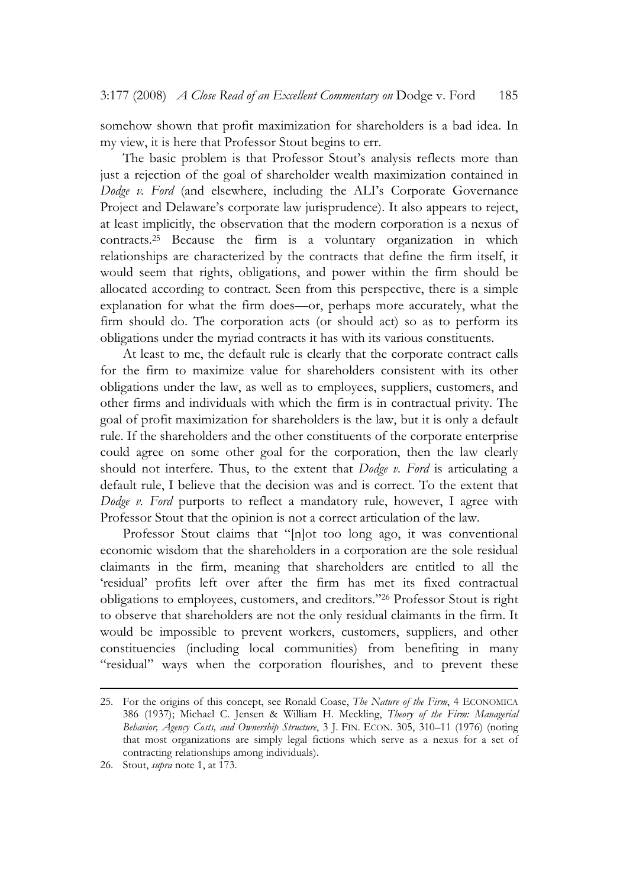somehow shown that profit maximization for shareholders is a bad idea. In my view, it is here that Professor Stout begins to err.

The basic problem is that Professor Stout's analysis reflects more than just a rejection of the goal of shareholder wealth maximization contained in *Dodge v. Ford* (and elsewhere, including the ALI's Corporate Governance Project and Delaware's corporate law jurisprudence). It also appears to reject, at least implicitly, the observation that the modern corporation is a nexus of contracts.25 Because the firm is a voluntary organization in which relationships are characterized by the contracts that define the firm itself, it would seem that rights, obligations, and power within the firm should be allocated according to contract. Seen from this perspective, there is a simple explanation for what the firm does—or, perhaps more accurately, what the firm should do. The corporation acts (or should act) so as to perform its obligations under the myriad contracts it has with its various constituents.

At least to me, the default rule is clearly that the corporate contract calls for the firm to maximize value for shareholders consistent with its other obligations under the law, as well as to employees, suppliers, customers, and other firms and individuals with which the firm is in contractual privity. The goal of profit maximization for shareholders is the law, but it is only a default rule. If the shareholders and the other constituents of the corporate enterprise could agree on some other goal for the corporation, then the law clearly should not interfere. Thus, to the extent that *Dodge v. Ford* is articulating a default rule, I believe that the decision was and is correct. To the extent that *Dodge v. Ford* purports to reflect a mandatory rule, however, I agree with Professor Stout that the opinion is not a correct articulation of the law.

Professor Stout claims that "[n]ot too long ago, it was conventional economic wisdom that the shareholders in a corporation are the sole residual claimants in the firm, meaning that shareholders are entitled to all the 'residual' profits left over after the firm has met its fixed contractual obligations to employees, customers, and creditors."26 Professor Stout is right to observe that shareholders are not the only residual claimants in the firm. It would be impossible to prevent workers, customers, suppliers, and other constituencies (including local communities) from benefiting in many "residual" ways when the corporation flourishes, and to prevent these

<sup>25.</sup> For the origins of this concept, see Ronald Coase, *The Nature of the Firm*, 4 ECONOMICA 386 (1937); Michael C. Jensen & William H. Meckling, *Theory of the Firm: Managerial Behavior, Agency Costs, and Ownership Structure*, 3 J. FIN. ECON. 305, 310–11 (1976) (noting that most organizations are simply legal fictions which serve as a nexus for a set of contracting relationships among individuals).

<sup>26.</sup> Stout, *supra* note 1, at 173.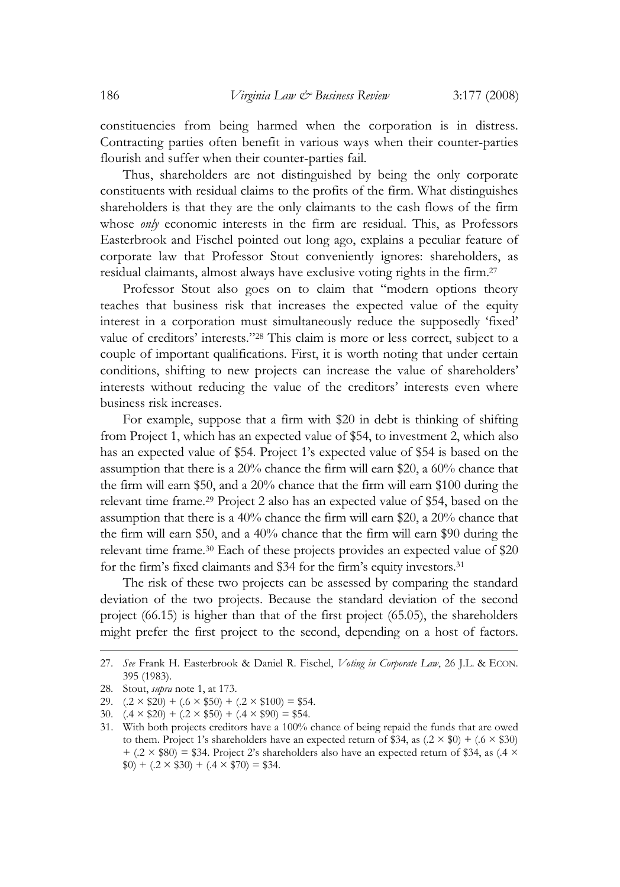constituencies from being harmed when the corporation is in distress. Contracting parties often benefit in various ways when their counter-parties flourish and suffer when their counter-parties fail.

Thus, shareholders are not distinguished by being the only corporate constituents with residual claims to the profits of the firm. What distinguishes shareholders is that they are the only claimants to the cash flows of the firm whose *only* economic interests in the firm are residual. This, as Professors Easterbrook and Fischel pointed out long ago, explains a peculiar feature of corporate law that Professor Stout conveniently ignores: shareholders, as residual claimants, almost always have exclusive voting rights in the firm.27

Professor Stout also goes on to claim that "modern options theory teaches that business risk that increases the expected value of the equity interest in a corporation must simultaneously reduce the supposedly 'fixed' value of creditors' interests."28 This claim is more or less correct, subject to a couple of important qualifications. First, it is worth noting that under certain conditions, shifting to new projects can increase the value of shareholders' interests without reducing the value of the creditors' interests even where business risk increases.

For example, suppose that a firm with \$20 in debt is thinking of shifting from Project 1, which has an expected value of \$54, to investment 2, which also has an expected value of \$54. Project 1's expected value of \$54 is based on the assumption that there is a 20% chance the firm will earn \$20, a 60% chance that the firm will earn \$50, and a 20% chance that the firm will earn \$100 during the relevant time frame.29 Project 2 also has an expected value of \$54, based on the assumption that there is a 40% chance the firm will earn \$20, a 20% chance that the firm will earn \$50, and a 40% chance that the firm will earn \$90 during the relevant time frame.30 Each of these projects provides an expected value of \$20 for the firm's fixed claimants and \$34 for the firm's equity investors.31

The risk of these two projects can be assessed by comparing the standard deviation of the two projects. Because the standard deviation of the second project (66.15) is higher than that of the first project (65.05), the shareholders might prefer the first project to the second, depending on a host of factors.

<sup>27.</sup> *See* Frank H. Easterbrook & Daniel R. Fischel, *Voting in Corporate Law*, 26 J.L. & ECON. 395 (1983).

<sup>28.</sup> Stout, *supra* note 1, at 173.

<sup>29.</sup>  $(.2 \times $20) + (.6 \times $50) + (.2 \times $100) = $54.$ 

<sup>30.</sup>  $(0.4 \times \$20) + (0.2 \times \$50) + (0.4 \times \$90) = \$54$ .

<sup>31.</sup> With both projects creditors have a 100% chance of being repaid the funds that are owed to them. Project 1's shareholders have an expected return of \$34, as  $(2 \times $0) + (0.6 \times $30)$  $+(0.2 \times $80) = $34$ . Project 2's shareholders also have an expected return of \$34, as (.4  $\times$  $(0.9) + (0.2 \times 30) + (0.4 \times 370) = 334.$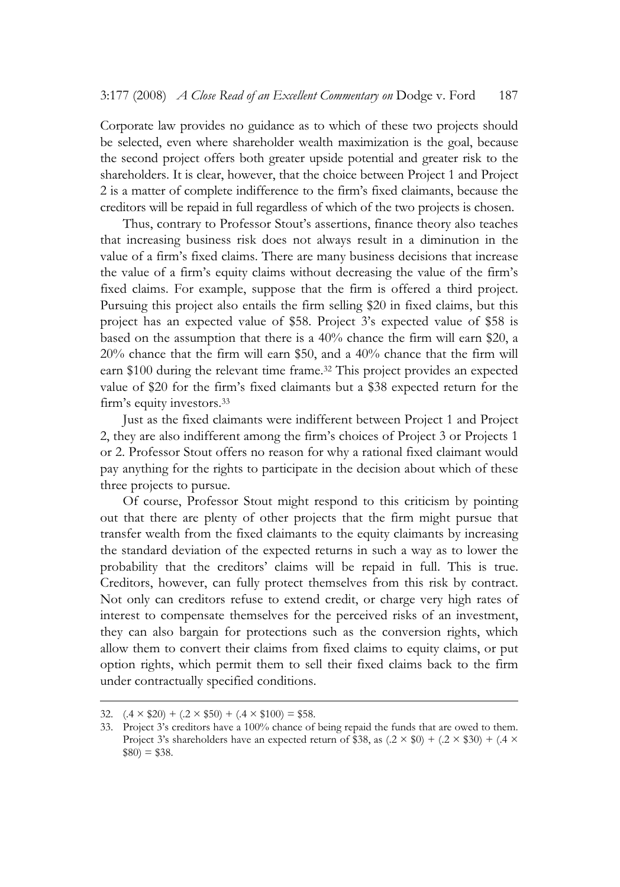Corporate law provides no guidance as to which of these two projects should be selected, even where shareholder wealth maximization is the goal, because the second project offers both greater upside potential and greater risk to the shareholders. It is clear, however, that the choice between Project 1 and Project 2 is a matter of complete indifference to the firm's fixed claimants, because the creditors will be repaid in full regardless of which of the two projects is chosen.

Thus, contrary to Professor Stout's assertions, finance theory also teaches that increasing business risk does not always result in a diminution in the value of a firm's fixed claims. There are many business decisions that increase the value of a firm's equity claims without decreasing the value of the firm's fixed claims. For example, suppose that the firm is offered a third project. Pursuing this project also entails the firm selling \$20 in fixed claims, but this project has an expected value of \$58. Project 3's expected value of \$58 is based on the assumption that there is a 40% chance the firm will earn \$20, a 20% chance that the firm will earn \$50, and a 40% chance that the firm will earn \$100 during the relevant time frame.<sup>32</sup> This project provides an expected value of \$20 for the firm's fixed claimants but a \$38 expected return for the firm's equity investors.33

Just as the fixed claimants were indifferent between Project 1 and Project 2, they are also indifferent among the firm's choices of Project 3 or Projects 1 or 2. Professor Stout offers no reason for why a rational fixed claimant would pay anything for the rights to participate in the decision about which of these three projects to pursue.

Of course, Professor Stout might respond to this criticism by pointing out that there are plenty of other projects that the firm might pursue that transfer wealth from the fixed claimants to the equity claimants by increasing the standard deviation of the expected returns in such a way as to lower the probability that the creditors' claims will be repaid in full. This is true. Creditors, however, can fully protect themselves from this risk by contract. Not only can creditors refuse to extend credit, or charge very high rates of interest to compensate themselves for the perceived risks of an investment, they can also bargain for protections such as the conversion rights, which allow them to convert their claims from fixed claims to equity claims, or put option rights, which permit them to sell their fixed claims back to the firm under contractually specified conditions.

<sup>32.</sup>  $(.4 \times \$20) + (.2 \times \$50) + (.4 \times \$100) = \$58$ .

<sup>33.</sup> Project 3's creditors have a 100% chance of being repaid the funds that are owed to them. Project 3's shareholders have an expected return of \$38, as  $(2 \times $0) + (0.2 \times $30) + (0.4 \times $30)$  $$80$ ) = \$38.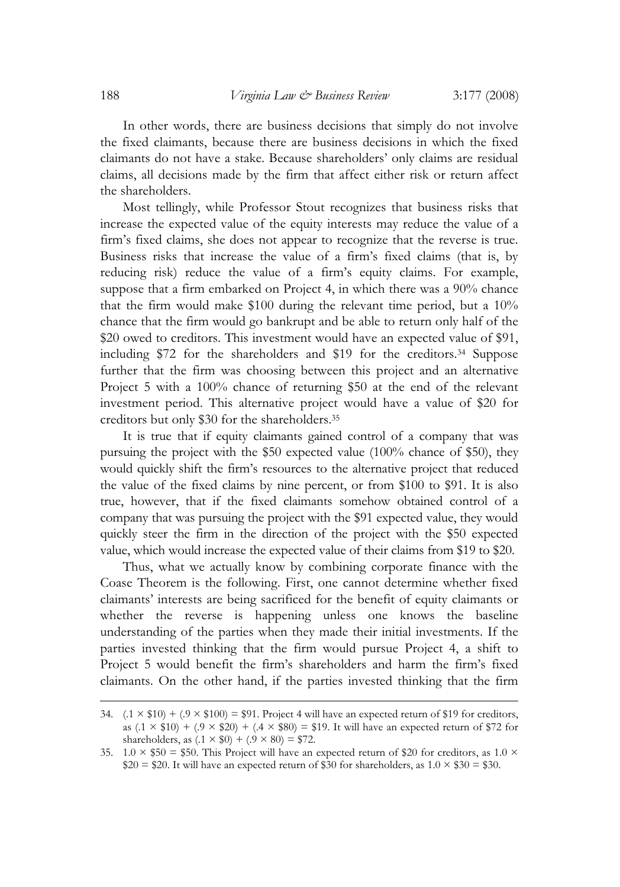In other words, there are business decisions that simply do not involve the fixed claimants, because there are business decisions in which the fixed claimants do not have a stake. Because shareholders' only claims are residual claims, all decisions made by the firm that affect either risk or return affect the shareholders.

Most tellingly, while Professor Stout recognizes that business risks that increase the expected value of the equity interests may reduce the value of a firm's fixed claims, she does not appear to recognize that the reverse is true. Business risks that increase the value of a firm's fixed claims (that is, by reducing risk) reduce the value of a firm's equity claims. For example, suppose that a firm embarked on Project 4, in which there was a 90% chance that the firm would make \$100 during the relevant time period, but a 10% chance that the firm would go bankrupt and be able to return only half of the \$20 owed to creditors. This investment would have an expected value of \$91, including \$72 for the shareholders and \$19 for the creditors.34 Suppose further that the firm was choosing between this project and an alternative Project 5 with a 100% chance of returning \$50 at the end of the relevant investment period. This alternative project would have a value of \$20 for creditors but only \$30 for the shareholders.35

It is true that if equity claimants gained control of a company that was pursuing the project with the \$50 expected value (100% chance of \$50), they would quickly shift the firm's resources to the alternative project that reduced the value of the fixed claims by nine percent, or from \$100 to \$91. It is also true, however, that if the fixed claimants somehow obtained control of a company that was pursuing the project with the \$91 expected value, they would quickly steer the firm in the direction of the project with the \$50 expected value, which would increase the expected value of their claims from \$19 to \$20.

Thus, what we actually know by combining corporate finance with the Coase Theorem is the following. First, one cannot determine whether fixed claimants' interests are being sacrificed for the benefit of equity claimants or whether the reverse is happening unless one knows the baseline understanding of the parties when they made their initial investments. If the parties invested thinking that the firm would pursue Project 4, a shift to Project 5 would benefit the firm's shareholders and harm the firm's fixed claimants. On the other hand, if the parties invested thinking that the firm

<sup>34.</sup>  $(0.1 \times $10) + (0.9 \times $100) = $91$ . Project 4 will have an expected return of \$19 for creditors, as  $(1 \times $10) + (0 \times $20) + (4 \times $80) = $19$ . It will have an expected return of \$72 for shareholders, as  $(.1 \times \$0) + (.9 \times 80) = \$72$ .

<sup>35.</sup>  $1.0 \times $50 = $50$ . This Project will have an expected return of \$20 for creditors, as 1.0  $\times$  $$20 = $20$ . It will have an expected return of \$30 for shareholders, as  $1.0 \times $30 = $30$ .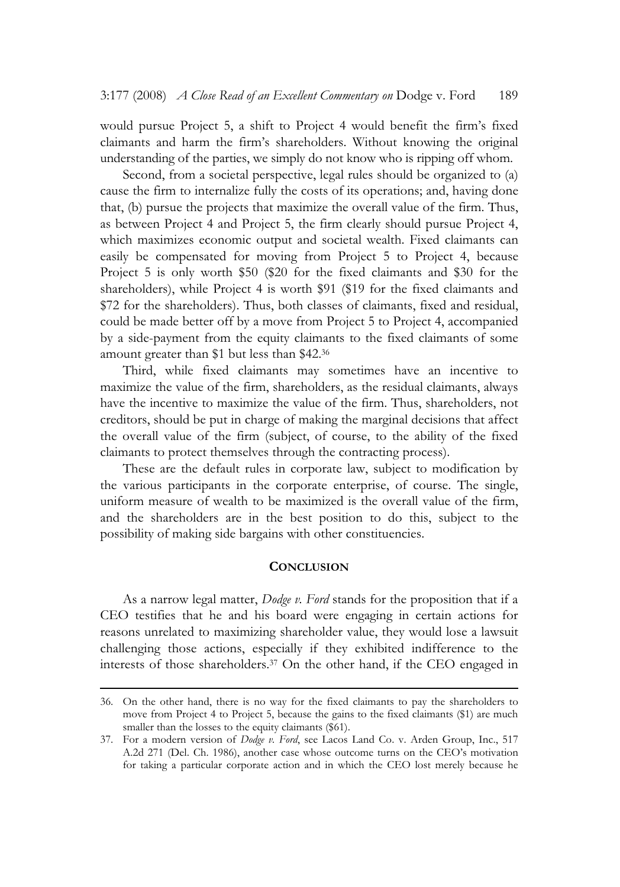would pursue Project 5, a shift to Project 4 would benefit the firm's fixed claimants and harm the firm's shareholders. Without knowing the original understanding of the parties, we simply do not know who is ripping off whom.

Second, from a societal perspective, legal rules should be organized to (a) cause the firm to internalize fully the costs of its operations; and, having done that, (b) pursue the projects that maximize the overall value of the firm. Thus, as between Project 4 and Project 5, the firm clearly should pursue Project 4, which maximizes economic output and societal wealth. Fixed claimants can easily be compensated for moving from Project 5 to Project 4, because Project 5 is only worth \$50 (\$20 for the fixed claimants and \$30 for the shareholders), while Project 4 is worth \$91 (\$19 for the fixed claimants and \$72 for the shareholders). Thus, both classes of claimants, fixed and residual, could be made better off by a move from Project 5 to Project 4, accompanied by a side-payment from the equity claimants to the fixed claimants of some amount greater than \$1 but less than \$42.36

Third, while fixed claimants may sometimes have an incentive to maximize the value of the firm, shareholders, as the residual claimants, always have the incentive to maximize the value of the firm. Thus, shareholders, not creditors, should be put in charge of making the marginal decisions that affect the overall value of the firm (subject, of course, to the ability of the fixed claimants to protect themselves through the contracting process).

These are the default rules in corporate law, subject to modification by the various participants in the corporate enterprise, of course. The single, uniform measure of wealth to be maximized is the overall value of the firm, and the shareholders are in the best position to do this, subject to the possibility of making side bargains with other constituencies.

## **CONCLUSION**

As a narrow legal matter, *Dodge v. Ford* stands for the proposition that if a CEO testifies that he and his board were engaging in certain actions for reasons unrelated to maximizing shareholder value, they would lose a lawsuit challenging those actions, especially if they exhibited indifference to the interests of those shareholders.37 On the other hand, if the CEO engaged in

<sup>36.</sup> On the other hand, there is no way for the fixed claimants to pay the shareholders to move from Project 4 to Project 5, because the gains to the fixed claimants (\$1) are much smaller than the losses to the equity claimants (\$61).

<sup>37.</sup> For a modern version of *Dodge v. Ford*, see Lacos Land Co. v. Arden Group, Inc., 517 A.2d 271 (Del. Ch. 1986), another case whose outcome turns on the CEO's motivation for taking a particular corporate action and in which the CEO lost merely because he